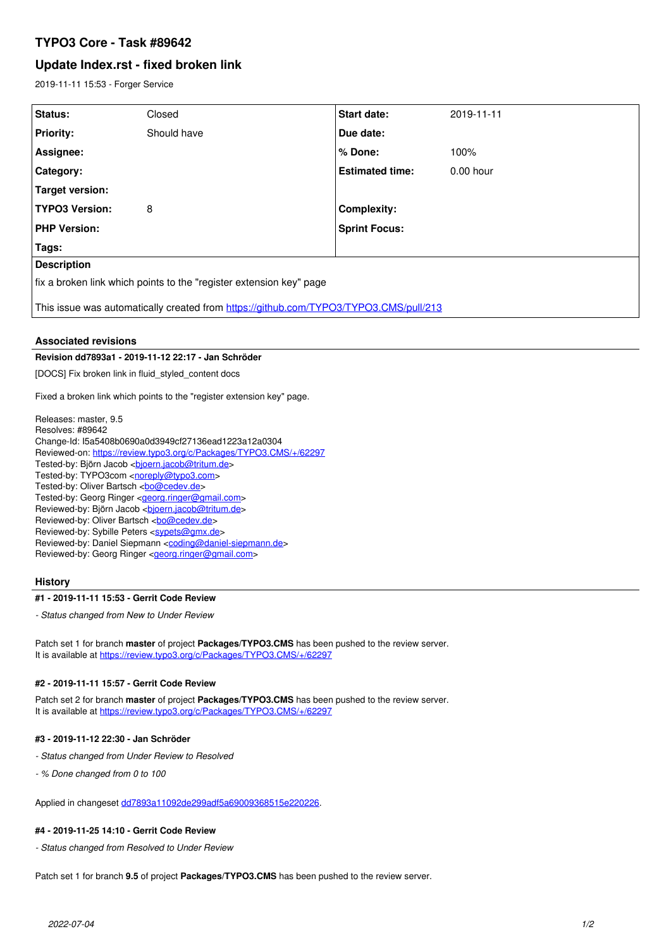# **TYPO3 Core - Task #89642**

# **Update Index.rst - fixed broken link**

2019-11-11 15:53 - Forger Service

| Status:                                                                               | Closed      | <b>Start date:</b>     | 2019-11-11  |
|---------------------------------------------------------------------------------------|-------------|------------------------|-------------|
| <b>Priority:</b>                                                                      | Should have | Due date:              |             |
| Assignee:                                                                             |             | ∣% Done:               | 100%        |
| Category:                                                                             |             | <b>Estimated time:</b> | $0.00$ hour |
| Target version:                                                                       |             |                        |             |
| <b>TYPO3 Version:</b>                                                                 | 8           | <b>Complexity:</b>     |             |
| <b>PHP Version:</b>                                                                   |             | <b>Sprint Focus:</b>   |             |
| Tags:                                                                                 |             |                        |             |
| <b>Description</b>                                                                    |             |                        |             |
| fix a broken link which points to the "register extension key" page                   |             |                        |             |
| This issue was automatically created from https://github.com/TYPO3/TYPO3.CMS/pull/213 |             |                        |             |

# **Associated revisions**

# **Revision dd7893a1 - 2019-11-12 22:17 - Jan Schröder**

[DOCS] Fix broken link in fluid\_styled\_content docs

Fixed a broken link which points to the "register extension key" page.

Releases: master, 9.5 Resolves: #89642 Change-Id: I5a5408b0690a0d3949cf27136ead1223a12a0304 Reviewed-on:<https://review.typo3.org/c/Packages/TYPO3.CMS/+/62297> Tested-by: Björn Jacob <br/> <br/>bioern.jacob@tritum.de> Tested-by: TYPO3com [<noreply@typo3.com>](mailto:noreply@typo3.com) Tested-by: Oliver Bartsch <br/> <br/><u>bo@cedev.de</u>> Tested-by: Georg Ringer <**georg.ringer@gmail.com**> Reviewed-by: Björn Jacob <br/>bioern.jacob@tritum.de> Reviewed-by: Oliver Bartsch <br/> <br/> <br/> <br/> <br/> <br/> <br/> <br/> <br/> <br/> <br/> <br/> <br/><br/> $\label{eq:2}$ Reviewed-by: Sybille Peters <[sypets@gmx.de](mailto:sypets@gmx.de)> Reviewed-by: Daniel Siepmann <[coding@daniel-siepmann.de](mailto:coding@daniel-siepmann.de)> Reviewed-by: Georg Ringer <**[georg.ringer@gmail.com](mailto:georg.ringer@gmail.com)>** 

# **History**

#### **#1 - 2019-11-11 15:53 - Gerrit Code Review**

*- Status changed from New to Under Review*

Patch set 1 for branch **master** of project **Packages/TYPO3.CMS** has been pushed to the review server. It is available at <https://review.typo3.org/c/Packages/TYPO3.CMS/+/62297>

# **#2 - 2019-11-11 15:57 - Gerrit Code Review**

Patch set 2 for branch **master** of project **Packages/TYPO3.CMS** has been pushed to the review server. It is available at <https://review.typo3.org/c/Packages/TYPO3.CMS/+/62297>

# **#3 - 2019-11-12 22:30 - Jan Schröder**

*- Status changed from Under Review to Resolved*

*- % Done changed from 0 to 100*

Applied in changeset [dd7893a11092de299adf5a69009368515e220226](https://forge.typo3.org/projects/typo3cms-core/repository/1749/revisions/dd7893a11092de299adf5a69009368515e220226).

# **#4 - 2019-11-25 14:10 - Gerrit Code Review**

*- Status changed from Resolved to Under Review*

Patch set 1 for branch **9.5** of project **Packages/TYPO3.CMS** has been pushed to the review server.